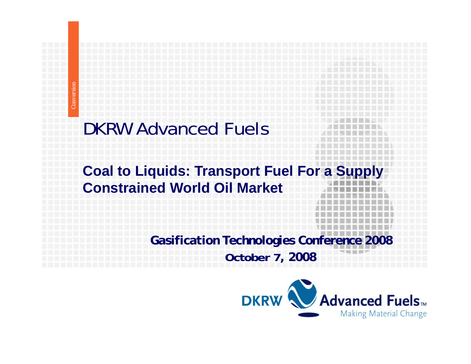## DKRW Advanced Fuels

## **Coal to Liquids: Transport Fuel For a Supply Constrained World Oil Market**

*Gasification Technologies Conference 2008* **October 7***, 2008*

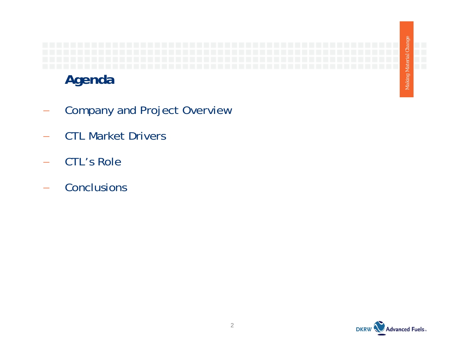

- Company and Project Overview
- CTL Market Drivers
- CTL's Role
- −**Conclusions**

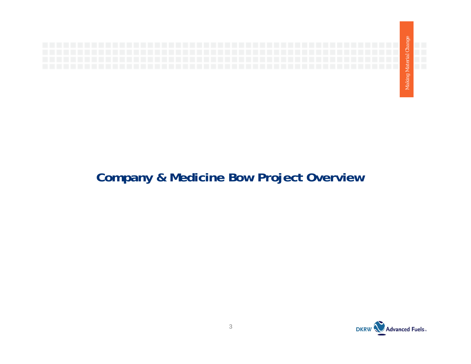

### **Company & Medicine Bow Project Overview**

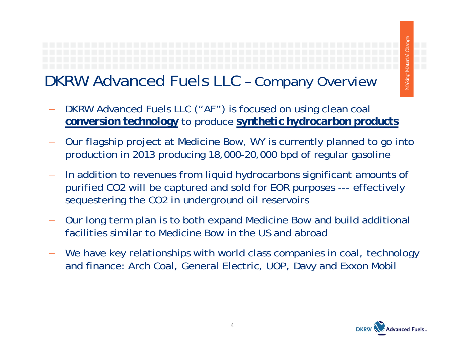# **DKRW Advanced Fuels LLC - Company Overview**

- DKRW Advanced Fuels LLC ("AF") is focused on using clean coal *conversion technology* to produce *synthetic hydrocarbon products*
- Our flagship project at Medicine Bow, WY is currently planned to go into production in 2013 producing 18,000-20,000 bpd of regular gasoline
- In addition to revenues from liquid hydrocarbons significant amounts of purified CO2 will be captured and sold for EOR purposes --- effectively sequestering the CO2 in underground oil reservoirs
- Our long term plan is to both expand Medicine Bow and build additional facilities similar to Medicine Bow in the US and abroad
- We have key relationships with world class companies in coal, technology and finance: Arch Coal, General Electric, UOP, Davy and Exxon Mobil



*aterial Change*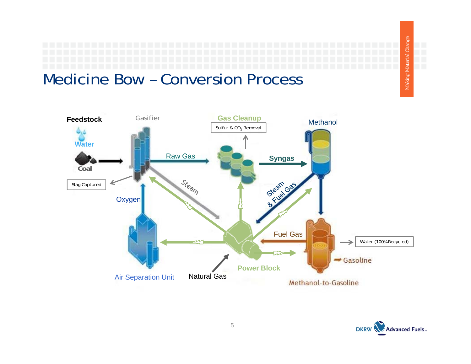*aterial Change Making M* **FOR** 

## Medicine Bow – Conversion Process



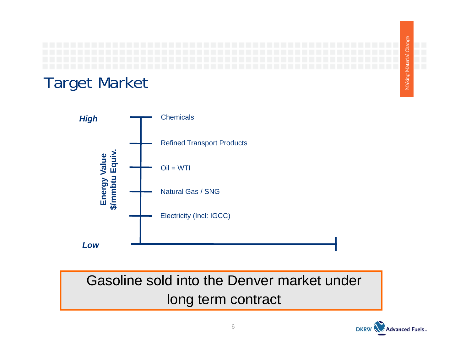



Gasoline sold into the Denver market under long term contract

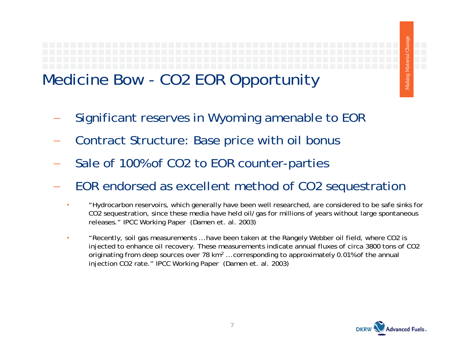# Medicine Bow - CO2 EOR Opportunity

- Significant reserves in Wyoming amenable to EOR
- Contract Structure: Base price with oil bonus
- Sale of 100% of CO2 to EOR counter-parties
- EOR endorsed as excellent method of CO2 sequestration
	- •"Hydrocarbon reservoirs, which generally have been well researched, are considered to be safe sinks for CO2 sequestration, since these media have held oil/gas for millions of years without large spontaneous releases." IPCC Working Paper (Damen et. al. 2003)
	- • "Recently, soil gas measurements … have been taken at the Rangely Webber oil field, where CO2 is injected to enhance oil recovery. These measurements indicate annual fluxes of circa 3800 tons of CO2 originating from deep sources over 78 km2 … corresponding to approximately 0.01% of the annual injection CO2 rate." IPCC Working Paper (Damen et. al. 2003)



*aterial Change*

*Making M*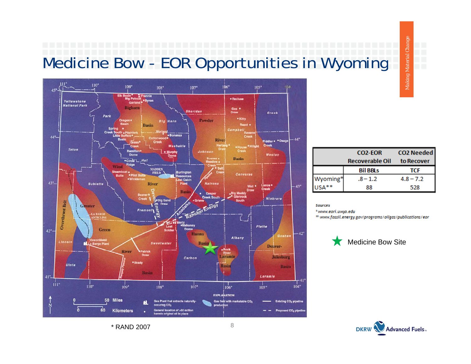# Medicine Bow - EOR Opportunities in Wyoming



\* RAND 2007

|          | <b>CO2-EOR</b>         | <b>CO2 Needed</b> |  |
|----------|------------------------|-------------------|--|
|          | <b>Recoverable Oil</b> | to Recover        |  |
|          | <b>Bil BBLs</b>        | <b>TCF</b>        |  |
| Wyoming* | $-8 - 1.2$             | $4.8 - 7.2$       |  |
| USA**    | 88                     | 528               |  |

Making Material Chang

**Sources** 

\*www.eori.uwyo.edu

<sup>12</sup> www.fossil.energy.gov/programs/oilgas/publications/eor



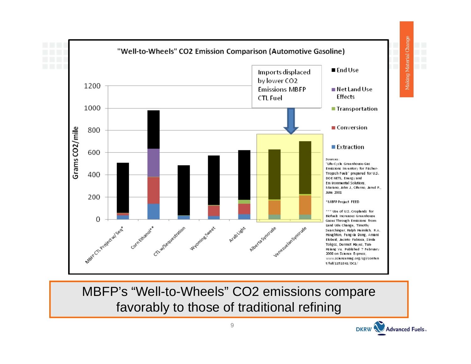

Making Material Change

MBFP's "Well-to-Wheels" CO2 emissions compare favorably to those of traditional refining

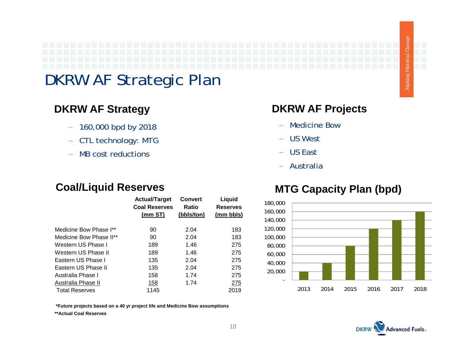## DKRW AF Strategic Plan

#### **DKRW AF St**

- − 160,000 bpd by 2018
- − CTL technology: MTG
- −MB cost reductions

#### **Coal/Liquid Reserves**

|                         | <b>Actual/Target</b><br><b>Coal Reserves</b> | <b>Convert</b><br>Ratio | Liquid<br><b>Reserves</b> |
|-------------------------|----------------------------------------------|-------------------------|---------------------------|
|                         | (mm ST)                                      | (bbls/ton)              | (mm bbls)                 |
| Medicine Bow Phase I**  | 90                                           | 2.04                    | 183                       |
| Medicine Bow Phase II** | 90                                           | 2.04                    | 183                       |
| Western US Phase I      | 189                                          | 1.46                    | 275                       |
| Western US Phase II     | 189                                          | 1.46                    | 275                       |
| Eastern US Phase I      | 135                                          | 2.04                    | 275                       |
| Eastern US Phase II     | 135                                          | 2.04                    | 275                       |
| Australia Phase I       | 158                                          | 1.74                    | 275                       |
| Australia Phase II      | 158                                          | 1.74                    | <u> 275</u>               |
| <b>Total Reserves</b>   | 1145                                         |                         | 2019                      |

#### **rategy DKRW AF Projects ategyj**

- −Medicine Bow
- − US West
- − US East
- − Australia

#### **MTG Capacity Plan (bpd)**



 **\*Future projects based on a 40 yr project life and Medicine Bow assumptions**

**\*\*Actual Coal Reserves**

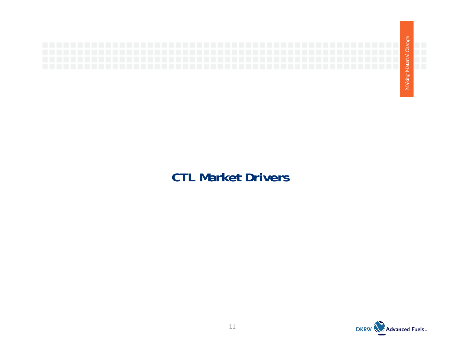

### **CTL Market Drivers**

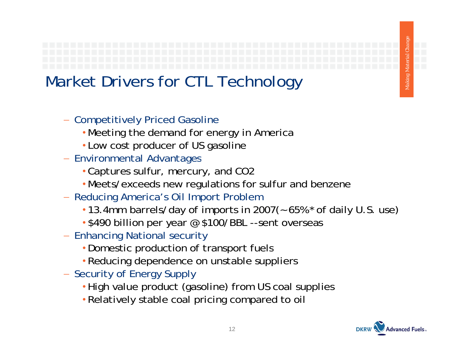## Market Drivers for CTL Technology

- − Competitively Priced Gasoline
	- Meeting the demand for energy in America
	- Low cost producer of US gasoline
- − Environmental Advantages
	- Captures sulfur, mercury, and CO2
	- Meets/exceeds new regulations for sulfur and benzene
- − Reducing America's Oil Import Problem
	- 13.4mm barrels/day of imports in 2007(~ 65% \* of daily U.S. use)
	- \$490 billion per year @ \$100/BBL --sent overseas
- − Enhancing National security
	- Domestic production of transport fuels
	- Reducing dependence on unstable suppliers
- − Security of Energy Supply
	- •High value product (gasoline) from US coal supplies
	- Relatively stable coal pricing compared to oil

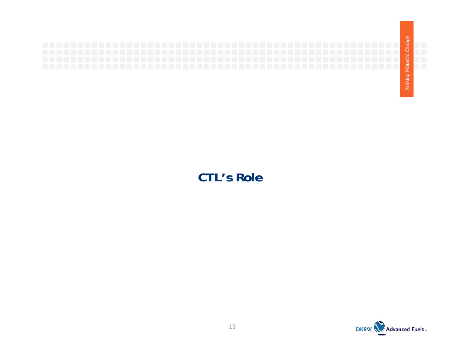

#### **CTL's Role**

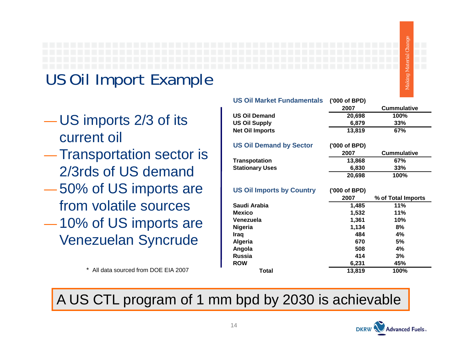# *aterial Change Making M*

# US Oil Import Example

- and the contract of the contract of the US imports 2/3 of its current oil
- the contract of the contract of the contract of 2/3rds of US demand
- the contract of the contract of the contract of 50% of US imports are
- the contract of the contract of the contract of 10% of US imports are Venezuelan Syncrude

|                                    | <b>US Oil Market Fundamentals</b> | ('000 of BPD)  |                           |
|------------------------------------|-----------------------------------|----------------|---------------------------|
|                                    |                                   | 2007           | <b>Cummulative</b>        |
|                                    | <b>US Oil Demand</b>              | 20,698         | 100%                      |
| US imports 2/3 of its              | <b>US Oil Supply</b>              | 6,879          | 33%                       |
|                                    | <b>Net Oil Imports</b>            | 13,819         | 67%                       |
| current oil                        |                                   |                |                           |
|                                    | <b>US Oil Demand by Sector</b>    | ('000 of BPD)  |                           |
| <b>Transportation sector is</b>    | <b>Transpotation</b>              | 2007<br>13,868 | <b>Cummulative</b><br>67% |
|                                    | <b>Stationary Uses</b>            | 6,830          | 33%                       |
| 2/3rds of US demand                |                                   | 20,698         | 100%                      |
|                                    |                                   |                |                           |
| 50% of US imports are              | <b>US Oil Imports by Country</b>  | ('000 of BPD)  |                           |
|                                    |                                   | 2007           | % of Total Imports        |
| from volatile sources              | Saudi Arabia                      | 1,485          | 11%                       |
|                                    | <b>Mexico</b>                     | 1,532          | 11%                       |
| 10% of US imports are              | Venezuela<br>Nigeria              | 1,361<br>1,134 | 10%<br>8%                 |
|                                    | Iraq                              | 484            | 4%                        |
| <b>Venezuelan Syncrude</b>         | Algeria                           | 670            | 5%                        |
|                                    | Angola                            | 508            | 4%                        |
|                                    | <b>Russia</b>                     | 414            | 3%                        |
|                                    | <b>ROW</b>                        | 6,231          | 45%                       |
| All data sourced from DOE EIA 2007 | <b>Total</b>                      | 13,819         | 100%                      |

## A US CTL program of 1 mm bpd by 2030 is achievable

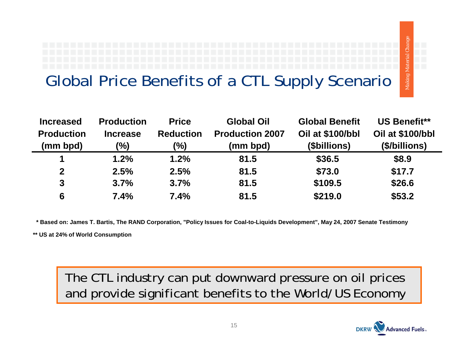## Global Price Benefits of a CTL Supply Scenario

| <b>Increased</b>  | <b>Production</b> | <b>Price</b>     | <b>Global Oil</b>      | <b>Global Benefit</b> | <b>US Benefit**</b> |
|-------------------|-------------------|------------------|------------------------|-----------------------|---------------------|
| <b>Production</b> | <b>Increase</b>   | <b>Reduction</b> | <b>Production 2007</b> | Oil at \$100/bbl      | Oil at \$100/bbl    |
| (mm bpd)          | $\frac{10}{6}$    | $(\%)$           | (mm bpd)               | (\$billions)          | (\$/billions)       |
|                   | 1.2%              | 1.2%             | 81.5                   | \$36.5                | \$8.9               |
| $\mathbf 2$       | 2.5%              | 2.5%             | 81.5                   | \$73.0                | \$17.7              |
| $\boldsymbol{3}$  | 3.7%              | 3.7%             | 81.5                   | \$109.5               | \$26.6              |
| 6                 | 7.4%              | 7.4%             | 81.5                   | \$219.0               | \$53.2              |

 **\* Based on: James T. Bartis, The RAND Corporation, "Policy Issues for Coal-to-Liquids Development", May 24, 2007 Senate Testimony**

**\*\* US at 24% of World Consumption**

The CTL industry can put downward pressure on oil prices and provide significant benefits to the World/US Economy



*aterial Change*

*Making M*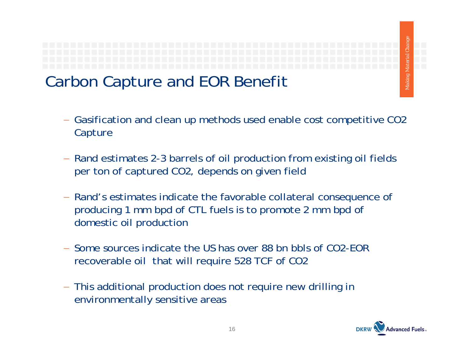

## Carbon Capture and EOR Benefit

- Gasification and clean up methods used enable cost competitive CO2 Capture
- − Rand estimates 2-3 barrels of oil production from existing oil fields per ton of captured CO2, depends on given field
- − Rand's estimates indicate the favorable collateral consequence of producing 1 mm bpd of CTL fuels is to promote 2 mm bpd of domestic oil production
- − Some sources indicate the US has over 88 bn bbls of CO2-EOR recoverable oil that will require 528 TCF of CO2
- − This additional production does not require new drilling in environmentally sensitive areas

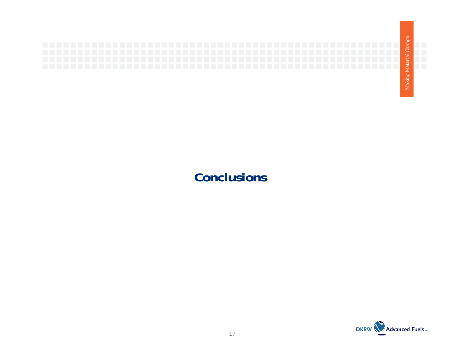

#### **Conclusions**

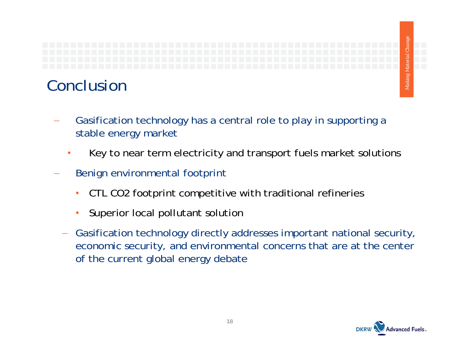

## Conclusion

- Gasification technology has a central role to play in supporting a stable energy market
	- •Key to near term electricity and transport fuels market solutions
- Benign environmental footprint
	- $\bullet$ CTL CO2 footprint competitive with traditional refineries
	- •Superior local pollutant solution
	- Gasification technology directly addresses important national security, economic security, and environmental concerns that are at the center of the current global energy debate



*aterial Change*

*Making M*